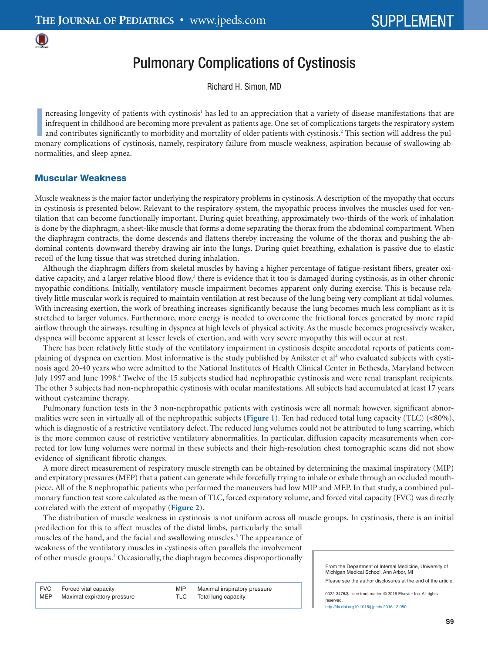

# Pulmonary Complications of Cystinosis

Richard H. Simon, MD

ncreasing longevity of patients with cystinosis<sup>1</sup> has led to an appreciation that a variety of disease manifestations that are infrequent in childhood are becoming more prevalent as patients age. One set of complications ncreasing longevity of patients with cystinosis<sup>1</sup> has led to an appreciation that a variety of disease manifestations that are infrequent in childhood are becoming more prevalent as patients age. One set of complications targets the respiratory system and contributes significantly to morbidity and mortality of older patients with cystinosis[.2](#page-5-1) This section will address the pulnormalities, and sleep apnea.

## Muscular Weakness

Muscle weakness is the major factor underlying the respiratory problems in cystinosis. A description of the myopathy that occurs in cystinosis is presented below. Relevant to the respiratory system, the myopathic process involves the muscles used for ventilation that can become functionally important. During quiet breathing, approximately two-thirds of the work of inhalation is done by the diaphragm, a sheet-like muscle that forms a dome separating the thorax from the abdominal compartment. When the diaphragm contracts, the dome descends and flattens thereby increasing the volume of the thorax and pushing the abdominal contents downward thereby drawing air into the lungs. During quiet breathing, exhalation is passive due to elastic recoil of the lung tissue that was stretched during inhalation.

Although the diaphragm differs from skeletal muscles by having a higher percentage of fatigue-resistant fibers, greater oxidative capacity, and a larger relative blood flow, $3$  there is evidence that it too is damaged during cystinosis, as in other chronic myopathic conditions. Initially, ventilatory muscle impairment becomes apparent only during exercise. This is because relatively little muscular work is required to maintain ventilation at rest because of the lung being very compliant at tidal volumes. With increasing exertion, the work of breathing increases significantly because the lung becomes much less compliant as it is stretched to larger volumes. Furthermore, more energy is needed to overcome the frictional forces generated by more rapid airflow through the airways, resulting in dyspnea at high levels of physical activity. As the muscle becomes progressively weaker, dyspnea will become apparent at lesser levels of exertion, and with very severe myopathy this will occur at rest.

There has been relatively little study of the ventilatory impairment in cystinosis despite anecdotal reports of patients complaining of dyspnea on exertion. Most informative is the study published by Anikster et al<sup>4</sup> who evaluated subjects with cystinosis aged 20-40 years who were admitted to the National Institutes of Health Clinical Center in Bethesda, Maryland between July 1997 and June 1998[.4](#page-5-3) Twelve of the 15 subjects studied had nephropathic cystinosis and were renal transplant recipients. The other 3 subjects had non-nephropathic cystinosis with ocular manifestations. All subjects had accumulated at least 17 years without cysteamine therapy.

Pulmonary function tests in the 3 non-nephropathic patients with cystinosis were all normal; however, significant abnormalities were seen in virtually all of the nephropathic subjects (**[Figure 1](#page-1-0)**). Ten had reduced total lung capacity (TLC) (<80%), which is diagnostic of a restrictive ventilatory defect. The reduced lung volumes could not be attributed to lung scarring, which is the more common cause of restrictive ventilatory abnormalities. In particular, diffusion capacity measurements when corrected for low lung volumes were normal in these subjects and their high-resolution chest tomographic scans did not show evidence of significant fibrotic changes.

A more direct measurement of respiratory muscle strength can be obtained by determining the maximal inspiratory (MIP) and expiratory pressures (MEP) that a patient can generate while forcefully trying to inhale or exhale through an occluded mouthpiece. All of the 8 nephropathic patients who performed the maneuvers had low MIP and MEP. In that study, a combined pulmonary function test score calculated as the mean of TLC, forced expiratory volume, and forced vital capacity (FVC) was directly correlated with the extent of myopathy (**[Figure 2](#page-1-0)**).

The distribution of muscle weakness in cystinosis is not uniform across all muscle groups. In cystinosis, there is an initial predilection for this to affect muscles of the distal limbs, particularly the small

muscles of the hand, and the facial and swallowing muscles.<sup>5</sup> The appearance of weakness of the ventilatory muscles in cystinosis often parallels the involvement of other muscle groups[.4](#page-5-3) Occasionally, the diaphragm becomes disproportionally

FVC Forced vital capacity MEP Maximal expiratory pressure MIP Maximal inspiratory pressure TLC Total lung capacity

From the Department of Internal Medicine, University of Michigan Medical School, Ann Arbor, MI Please see the author disclosures at the end of the article.

0022-3476/\$ - see front matter. © 2016 Elsevier Inc. All rights reserved. http://dx.doi.org10.1016/j.jpeds.2016.12.050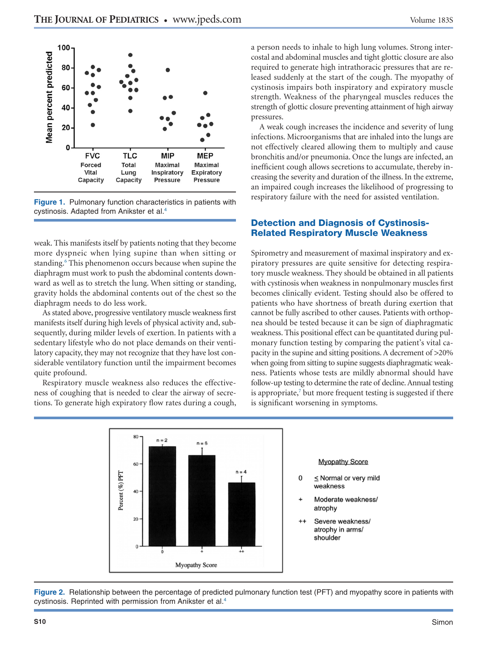<span id="page-1-0"></span>

**Figure 1.** Pulmonary function characteristics in patients with cystinosis. Adapted from Anikster et al.<sup>4</sup>

weak. This manifests itself by patients noting that they become more dyspneic when lying supine than when sitting or standing.<sup>6</sup> This phenomenon occurs because when supine the diaphragm must work to push the abdominal contents downward as well as to stretch the lung. When sitting or standing, gravity holds the abdominal contents out of the chest so the diaphragm needs to do less work.

As stated above, progressive ventilatory muscle weakness first manifests itself during high levels of physical activity and, subsequently, during milder levels of exertion. In patients with a sedentary lifestyle who do not place demands on their ventilatory capacity, they may not recognize that they have lost considerable ventilatory function until the impairment becomes quite profound.

Respiratory muscle weakness also reduces the effectiveness of coughing that is needed to clear the airway of secretions. To generate high expiratory flow rates during a cough, a person needs to inhale to high lung volumes. Strong intercostal and abdominal muscles and tight glottic closure are also required to generate high intrathoracic pressures that are released suddenly at the start of the cough. The myopathy of cystinosis impairs both inspiratory and expiratory muscle strength. Weakness of the pharyngeal muscles reduces the strength of glottic closure preventing attainment of high airway pressures.

A weak cough increases the incidence and severity of lung infections. Microorganisms that are inhaled into the lungs are not effectively cleared allowing them to multiply and cause bronchitis and/or pneumonia. Once the lungs are infected, an inefficient cough allows secretions to accumulate, thereby increasing the severity and duration of the illness. In the extreme, an impaired cough increases the likelihood of progressing to respiratory failure with the need for assisted ventilation.

# Detection and Diagnosis of Cystinosis-Related Respiratory Muscle Weakness

Spirometry and measurement of maximal inspiratory and expiratory pressures are quite sensitive for detecting respiratory muscle weakness. They should be obtained in all patients with cystinosis when weakness in nonpulmonary muscles first becomes clinically evident. Testing should also be offered to patients who have shortness of breath during exertion that cannot be fully ascribed to other causes. Patients with orthopnea should be tested because it can be sign of diaphragmatic weakness. This positional effect can be quantitated during pulmonary function testing by comparing the patient's vital capacity in the supine and sitting positions. A decrement of >20% when going from sitting to supine suggests diaphragmatic weakness. Patients whose tests are mildly abnormal should have follow-up testing to determine the rate of decline. Annual testing is appropriate,<sup>7</sup> but more frequent testing is suggested if there is significant worsening in symptoms.



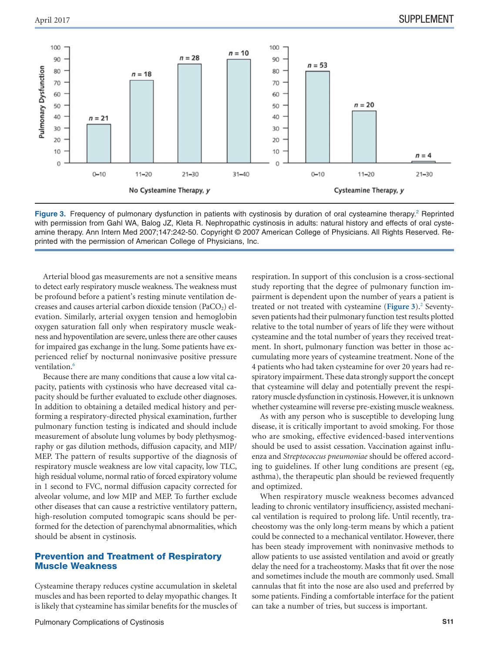

Figure 3. Frequency of pulmonary dysfunction in patients with cystinosis by duration of oral cysteamine therapy.<sup>2</sup> Reprinted with permission from Gahl WA, Balog JZ, Kleta R. Nephropathic cystinosis in adults: natural history and effects of oral cysteamine therapy. Ann Intern Med 2007;147:242-50. Copyright © 2007 American College of Physicians. All Rights Reserved. Reprinted with the permission of American College of Physicians, Inc.

Arterial blood gas measurements are not a sensitive means to detect early respiratory muscle weakness. The weakness must be profound before a patient's resting minute ventilation decreases and causes arterial carbon dioxide tension ( $PaCO<sub>2</sub>$ ) elevation. Similarly, arterial oxygen tension and hemoglobin oxygen saturation fall only when respiratory muscle weakness and hypoventilation are severe, unless there are other causes for impaired gas exchange in the lung. Some patients have experienced relief by nocturnal noninvasive positive pressure ventilation $\frac{6}{5}$ 

Because there are many conditions that cause a low vital capacity, patients with cystinosis who have decreased vital capacity should be further evaluated to exclude other diagnoses. In addition to obtaining a detailed medical history and performing a respiratory-directed physical examination, further pulmonary function testing is indicated and should include measurement of absolute lung volumes by body plethysmography or gas dilution methods, diffusion capacity, and MIP/ MEP. The pattern of results supportive of the diagnosis of respiratory muscle weakness are low vital capacity, low TLC, high residual volume, normal ratio of forced expiratory volume in 1 second to FVC, normal diffusion capacity corrected for alveolar volume, and low MIP and MEP. To further exclude other diseases that can cause a restrictive ventilatory pattern, high-resolution computed tomograpic scans should be performed for the detection of parenchymal abnormalities, which should be absent in cystinosis.

## Prevention and Treatment of Respiratory Muscle Weakness

Cysteamine therapy reduces cystine accumulation in skeletal muscles and has been reported to delay myopathic changes*.* It is likely that cysteamine has similar benefits for the muscles of

respiration. In support of this conclusion is a cross-sectional study reporting that the degree of pulmonary function impairment is dependent upon the number of years a patient is treated or not treated with cysteamine (**Figure 3**).<sup>2</sup> Seventyseven patients had their pulmonary function test results plotted relative to the total number of years of life they were without cysteamine and the total number of years they received treatment. In short, pulmonary function was better in those accumulating more years of cysteamine treatment. None of the 4 patients who had taken cysteamine for over 20 years had respiratory impairment. These data strongly support the concept that cysteamine will delay and potentially prevent the respiratory muscle dysfunction in cystinosis. However, it is unknown whether cysteamine will reverse pre-existing muscle weakness.

As with any person who is susceptible to developing lung disease, it is critically important to avoid smoking. For those who are smoking, effective evidenced-based interventions should be used to assist cessation. Vaccination against influenza and *Streptococcus pneumoniae* should be offered according to guidelines. If other lung conditions are present (eg, asthma), the therapeutic plan should be reviewed frequently and optimized.

When respiratory muscle weakness becomes advanced leading to chronic ventilatory insufficiency, assisted mechanical ventilation is required to prolong life. Until recently, tracheostomy was the only long-term means by which a patient could be connected to a mechanical ventilator. However, there has been steady improvement with noninvasive methods to allow patients to use assisted ventilation and avoid or greatly delay the need for a tracheostomy. Masks that fit over the nose and sometimes include the mouth are commonly used. Small cannulas that fit into the nose are also used and preferred by some patients. Finding a comfortable interface for the patient can take a number of tries, but success is important.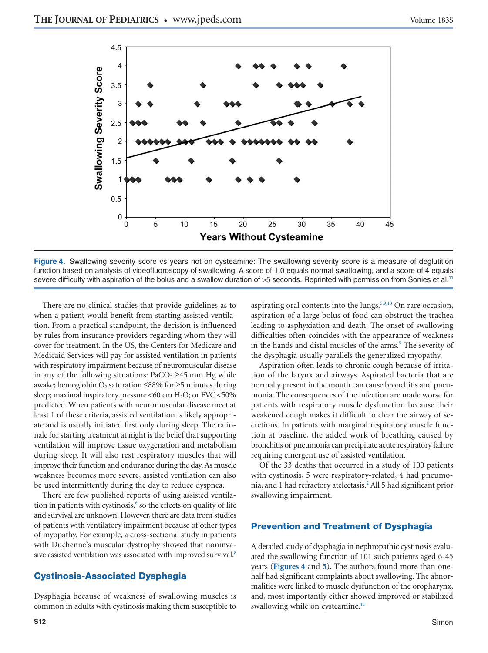

**Figure 4.** Swallowing severity score vs years not on cysteamine: The swallowing severity score is a measure of deglutition function based on analysis of videofluoroscopy of swallowing. A score of 1.0 equals normal swallowing, and a score of 4 equals severe difficulty with aspiration of the bolus and a swallow duration of >5 seconds. Reprinted with permission from Sonies et al.<sup>11</sup>

There are no clinical studies that provide guidelines as to when a patient would benefit from starting assisted ventilation. From a practical standpoint, the decision is influenced by rules from insurance providers regarding whom they will cover for treatment. In the US, the Centers for Medicare and Medicaid Services will pay for assisted ventilation in patients with respiratory impairment because of neuromuscular disease in any of the following situations:  $PaCO<sub>2</sub> ≥ 45$  mm Hg while awake; hemoglobin  $O_2$  saturation ≤88% for ≥5 minutes during sleep; maximal inspiratory pressure  $\leq 60$  cm  $H_2O$ ; or FVC  $\leq 50\%$ predicted. When patients with neuromuscular disease meet at least 1 of these criteria, assisted ventilation is likely appropriate and is usually initiated first only during sleep. The rationale for starting treatment at night is the belief that supporting ventilation will improve tissue oxygenation and metabolism during sleep. It will also rest respiratory muscles that will improve their function and endurance during the day. As muscle weakness becomes more severe, assisted ventilation can also be used intermittently during the day to reduce dyspnea.

There are few published reports of using assisted ventilation in patients with cystinosis, $\delta$  so the effects on quality of life and survival are unknown. However, there are data from studies of patients with ventilatory impairment because of other types of myopathy. For example, a cross-sectional study in patients with Duchenne's muscular dystrophy showed that noninvasive assisted ventilation was associated with improved survival.<sup>8</sup>

#### Cystinosis-Associated Dysphagia

Dysphagia because of weakness of swallowing muscles is common in adults with cystinosis making them susceptible to

aspirating oral contents into the lungs.<sup>5,9,10</sup> On rare occasion, aspiration of a large bolus of food can obstruct the trachea leading to asphyxiation and death. The onset of swallowing difficulties often coincides with the appearance of weakness in the hands and distal muscles of the arms.<sup>5</sup> The severity of the dysphagia usually parallels the generalized myopathy.

Aspiration often leads to chronic cough because of irritation of the larynx and airways. Aspirated bacteria that are normally present in the mouth can cause bronchitis and pneumonia. The consequences of the infection are made worse for patients with respiratory muscle dysfunction because their weakened cough makes it difficult to clear the airway of secretions. In patients with marginal respiratory muscle function at baseline, the added work of breathing caused by bronchitis or pneumonia can precipitate acute respiratory failure requiring emergent use of assisted ventilation.

Of the 33 deaths that occurred in a study of 100 patients with cystinosis, 5 were respiratory-related, 4 had pneumonia, and 1 had refractory atelectasis[.2](#page-5-1) All 5 had significant prior swallowing impairment.

#### Prevention and Treatment of Dysphagia

A detailed study of dysphagia in nephropathic cystinosis evaluated the swallowing function of 101 such patients aged 6-45 years (**Figures 4** and **[5](#page-4-0)**). The authors found more than onehalf had significant complaints about swallowing. The abnormalities were linked to muscle dysfunction of the oropharynx, and, most importantly either showed improved or stabilized swallowing while on cysteamine.<sup>11</sup>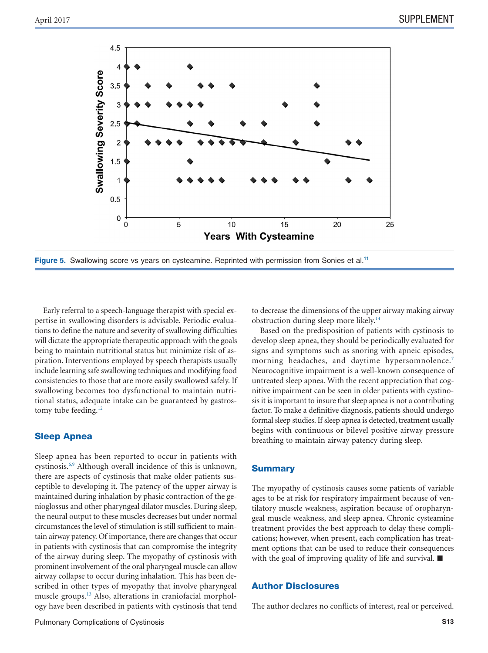<span id="page-4-0"></span>

**Figure 5.** Swallowing score vs years on cysteamine. Reprinted with permission from Sonies et al.<sup>11</sup>

Early referral to a speech-language therapist with special expertise in swallowing disorders is advisable. Periodic evaluations to define the nature and severity of swallowing difficulties will dictate the appropriate therapeutic approach with the goals being to maintain nutritional status but minimize risk of aspiration. Interventions employed by speech therapists usually include learning safe swallowing techniques and modifying food consistencies to those that are more easily swallowed safely. If swallowing becomes too dysfunctional to maintain nutritional status, adequate intake can be guaranteed by gastrostomy tube feeding.<sup>12</sup>

#### Sleep Apnea

Sleep apnea has been reported to occur in patients with cystinosis[.6,9](#page-5-5) Although overall incidence of this is unknown, there are aspects of cystinosis that make older patients susceptible to developing it. The patency of the upper airway is maintained during inhalation by phasic contraction of the genioglossus and other pharyngeal dilator muscles. During sleep, the neural output to these muscles decreases but under normal circumstances the level of stimulation is still sufficient to maintain airway patency. Of importance, there are changes that occur in patients with cystinosis that can compromise the integrity of the airway during sleep. The myopathy of cystinosis with prominent involvement of the oral pharyngeal muscle can allow airway collapse to occur during inhalation. This has been described in other types of myopathy that involve pharyngeal muscle groups.<sup>13</sup> Also, alterations in craniofacial morphology have been described in patients with cystinosis that tend

Pulmonary Complications of Cystinosis **S13**

to decrease the dimensions of the upper airway making airway obstruction during sleep more likely[.14](#page-5-11)

Based on the predisposition of patients with cystinosis to develop sleep apnea, they should be periodically evaluated for signs and symptoms such as snoring with apneic episodes, morning headaches, and daytime hypersomnolence.<sup>7</sup> Neurocognitive impairment is a well-known consequence of untreated sleep apnea. With the recent appreciation that cognitive impairment can be seen in older patients with cystinosis it is important to insure that sleep apnea is not a contributing factor. To make a definitive diagnosis, patients should undergo formal sleep studies. If sleep apnea is detected, treatment usually begins with continuous or bilevel positive airway pressure breathing to maintain airway patency during sleep.

#### **Summary**

The myopathy of cystinosis causes some patients of variable ages to be at risk for respiratory impairment because of ventilatory muscle weakness, aspiration because of oropharyngeal muscle weakness, and sleep apnea. Chronic cysteamine treatment provides the best approach to delay these complications; however, when present, each complication has treatment options that can be used to reduce their consequences with the goal of improving quality of life and survival. ■

## Author Disclosures

The author declares no conflicts of interest, real or perceived.